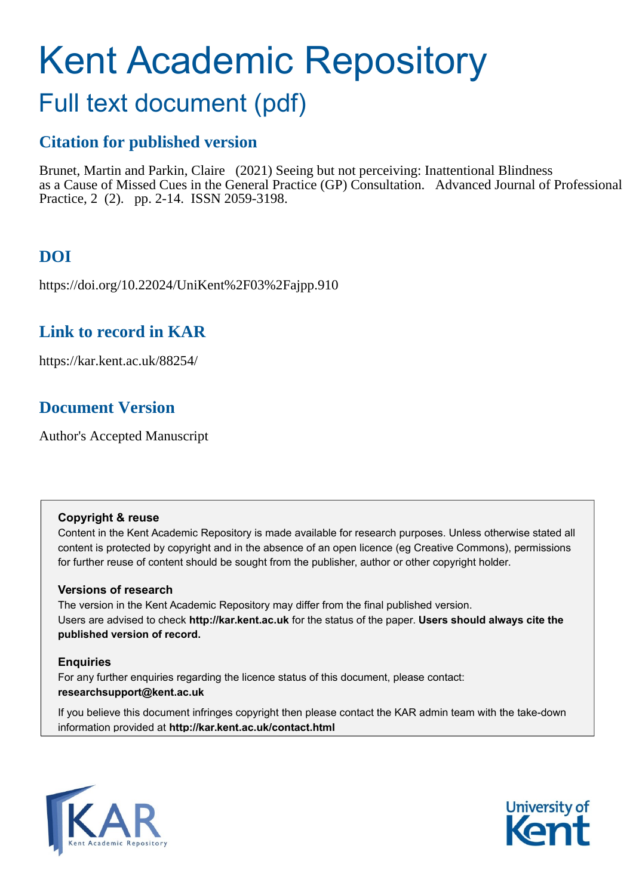# Kent Academic Repository

# Full text document (pdf)

# **Citation for published version**

Brunet, Martin and Parkin, Claire (2021) Seeing but not perceiving: Inattentional Blindness as a Cause of Missed Cues in the General Practice (GP) Consultation. Advanced Journal of Professional Practice, 2 (2). pp. 2-14. ISSN 2059-3198.

# **DOI**

https://doi.org/10.22024/UniKent%2F03%2Fajpp.910

# **Link to record in KAR**

https://kar.kent.ac.uk/88254/

# **Document Version**

Author's Accepted Manuscript

# **Copyright & reuse**

Content in the Kent Academic Repository is made available for research purposes. Unless otherwise stated all content is protected by copyright and in the absence of an open licence (eg Creative Commons), permissions for further reuse of content should be sought from the publisher, author or other copyright holder.

# **Versions of research**

The version in the Kent Academic Repository may differ from the final published version. Users are advised to check **http://kar.kent.ac.uk** for the status of the paper. **Users should always cite the published version of record.**

# **Enquiries**

For any further enquiries regarding the licence status of this document, please contact: **researchsupport@kent.ac.uk**

If you believe this document infringes copyright then please contact the KAR admin team with the take-down information provided at **http://kar.kent.ac.uk/contact.html**



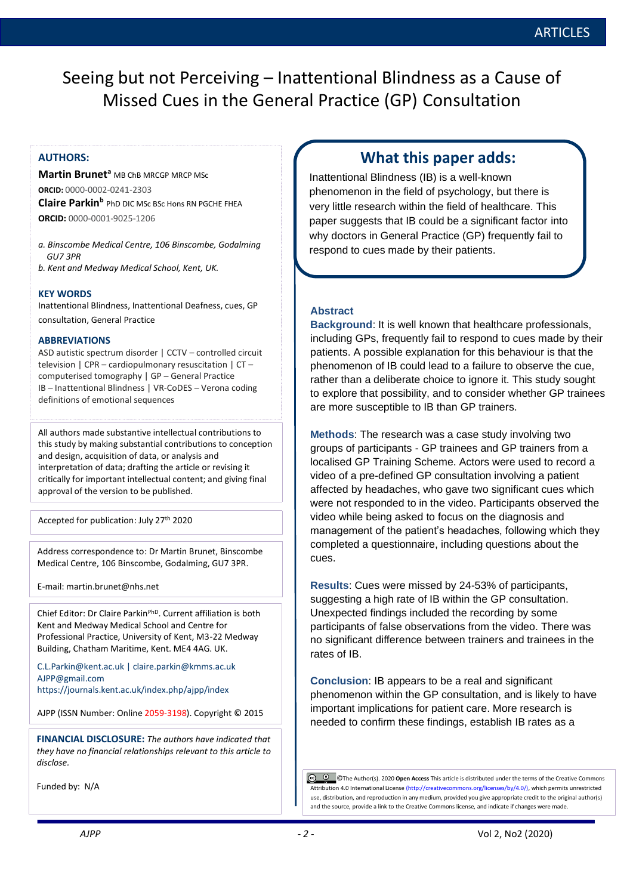Seeing but not Perceiving – Inattentional Blindness as a Cause of Missed Cues in the General Practice (GP) Consultation

**Martin Brunet<sup>a</sup> MB ChB MBCGP MBCP MSc ORCID:** 0000-0002-0241-2303 **Claire Parkin<sup>b</sup>** PhD DIC MSc BSc Hons RN PGCHE FHEA **ORCID:** 0000-0001-9025-1206

- *a. Binscombe Medical Centre, 106 Binscombe, Godalming GU7 3PR*
- *b. Kent and Medway Medical School, Kent, UK.*

### **KEY WORDS**

Inattentional Blindness, Inattentional Deafness, cues, GP consultation, General Practice

### **ABBREVIATIONS**

ASD autistic spectrum disorder | CCTV – controlled circuit television | CPR – cardiopulmonary resuscitation | CT – computerised tomography | GP – General Practice IB – Inattentional Blindness | VR-CoDES – Verona coding definitions of emotional sequences

All authors made substantive intellectual contributions to this study by making substantial contributions to conception and design, acquisition of data, or analysis and interpretation of data; drafting the article or revising it critically for important intellectual content; and giving final approval of the version to be published.

Accepted for publication: July 27th 2020

Address correspondence to: Dr Martin Brunet, Binscombe Medical Centre, 106 Binscombe, Godalming, GU7 3PR.

E-mail: martin.brunet@nhs.net

Chief Editor: Dr Claire ParkinPhD. Current affiliation is both Kent and Medway Medical School and Centre for Professional Practice, University of Kent, M3-22 Medway Building, Chatham Maritime, Kent. ME4 4AG. UK.

[C.L.Parkin@kent.ac.uk](mailto:C.L.Parkin@kent.ac.uk) | claire.parkin@kmms.ac.uk [AJPP@gmail.com](mailto:AJPP@gmail.com) <https://journals.kent.ac.uk/index.php/ajpp/index>

AJPP (ISSN Number: Online 2059-3198). Copyright © 2015

**FINANCIAL DISCLOSURE:** *The authors have indicated that they have no financial relationships relevant to this article to disclose.*

Funded by: N/A

# **AUTHORS: AUTHORS:** The Advanced Advanced Advanced Advanced Advanced Advanced Advanced Advanced Advanced Advanced Advanced Advanced Advanced Advanced Advanced Advanced Advanced Advanced Advanced Advanced Advanced Advance

Inattentional Blindness (IB) is a well-known phenomenon in the field of psychology, but there is very little research within the field of healthcare. This paper suggests that IB could be a significant factor into why doctors in General Practice (GP) frequently fail to respond to cues made by their patients.

### **Abstract**

**Background**: It is well known that healthcare professionals, including GPs, frequently fail to respond to cues made by their patients. A possible explanation for this behaviour is that the phenomenon of IB could lead to a failure to observe the cue, rather than a deliberate choice to ignore it. This study sought to explore that possibility, and to consider whether GP trainees are more susceptible to IB than GP trainers.

**Methods**: The research was a case study involving two groups of participants - GP trainees and GP trainers from a localised GP Training Scheme. Actors were used to record a video of a pre-defined GP consultation involving a patient affected by headaches, who gave two significant cues which were not responded to in the video. Participants observed the video while being asked to focus on the diagnosis and management of the patient's headaches, following which they completed a questionnaire, including questions about the cues.

**Results**: Cues were missed by 24-53% of participants, suggesting a high rate of IB within the GP consultation. Unexpected findings included the recording by some participants of false observations from the video. There was no significant difference between trainers and trainees in the rates of IB.

**Conclusion**: IB appears to be a real and significant phenomenon within the GP consultation, and is likely to have important implications for patient care. More research is needed to confirm these findings, establish IB rates as a

 ©The Author(s). 2020 **Open Access** This article is distributed under the terms of the Creative Commons Attribution 4.0 International License (http://creativecommons.org/licenses/by/4.0/), which permits unrestricted use, distribution, and reproduction in any medium, provided you give appropriate credit to the original author(s) and the source, provide a link to the Creative Commons license, and indicate if changes were made.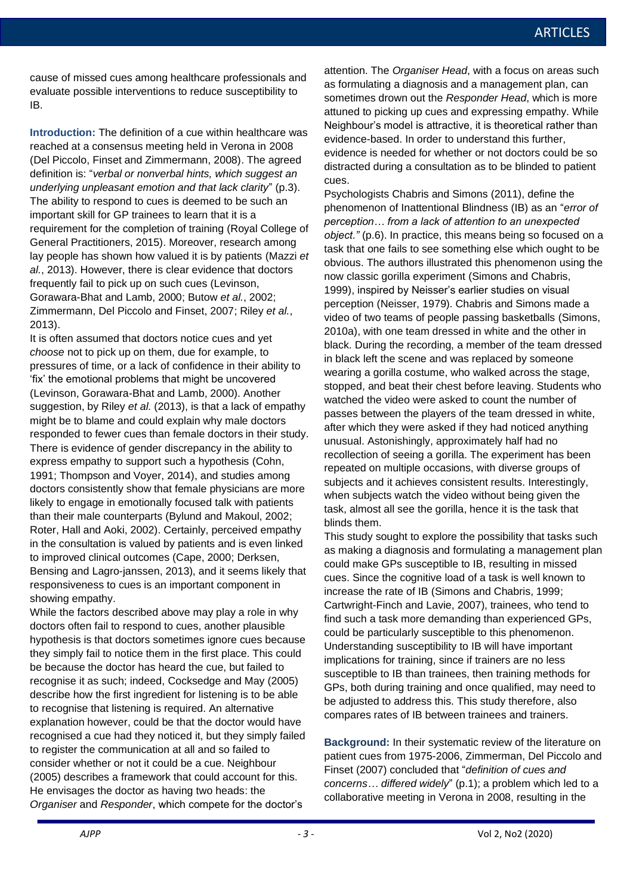cause of missed cues among healthcare professionals and evaluate possible interventions to reduce susceptibility to IB.

**Introduction:** The definition of a cue within healthcare was reached at a consensus meeting held in Verona in 2008 (Del Piccolo, Finset and Zimmermann, 2008). The agreed definition is: "*verbal or nonverbal hints, which suggest an underlying unpleasant emotion and that lack clarity*" (p.3). The ability to respond to cues is deemed to be such an important skill for GP trainees to learn that it is a requirement for the completion of training (Royal College of General Practitioners, 2015). Moreover, research among lay people has shown how valued it is by patients (Mazzi *et al.*, 2013). However, there is clear evidence that doctors frequently fail to pick up on such cues (Levinson, Gorawara-Bhat and Lamb, 2000; Butow *et al.*, 2002; Zimmermann, Del Piccolo and Finset, 2007; Riley *et al.*, 2013).

It is often assumed that doctors notice cues and yet *choose* not to pick up on them, due for example, to pressures of time, or a lack of confidence in their ability to 'fix' the emotional problems that might be uncovered (Levinson, Gorawara-Bhat and Lamb, 2000). Another suggestion, by Riley *et al.* (2013), is that a lack of empathy might be to blame and could explain why male doctors responded to fewer cues than female doctors in their study. There is evidence of gender discrepancy in the ability to express empathy to support such a hypothesis (Cohn, 1991; Thompson and Voyer, 2014), and studies among doctors consistently show that female physicians are more likely to engage in emotionally focused talk with patients than their male counterparts (Bylund and Makoul, 2002; Roter, Hall and Aoki, 2002). Certainly, perceived empathy in the consultation is valued by patients and is even linked to improved clinical outcomes (Cape, 2000; Derksen, Bensing and Lagro-janssen, 2013), and it seems likely that responsiveness to cues is an important component in showing empathy.

While the factors described above may play a role in why doctors often fail to respond to cues, another plausible hypothesis is that doctors sometimes ignore cues because they simply fail to notice them in the first place. This could be because the doctor has heard the cue, but failed to recognise it as such; indeed, Cocksedge and May (2005) describe how the first ingredient for listening is to be able to recognise that listening is required. An alternative explanation however, could be that the doctor would have recognised a cue had they noticed it, but they simply failed to register the communication at all and so failed to consider whether or not it could be a cue. Neighbour (2005) describes a framework that could account for this. He envisages the doctor as having two heads: the *Organiser* and *Responder*, which compete for the doctor's

attention. The *Organiser Head*, with a focus on areas such as formulating a diagnosis and a management plan, can sometimes drown out the *Responder Head*, which is more attuned to picking up cues and expressing empathy. While Neighbour's model is attractive, it is theoretical rather than evidence-based. In order to understand this further, evidence is needed for whether or not doctors could be so

distracted during a consultation as to be blinded to patient cues.

Psychologists Chabris and Simons (2011), define the phenomenon of Inattentional Blindness (IB) as an "*error of perception… from a lack of attention to an unexpected object."* (p.6). In practice, this means being so focused on a task that one fails to see something else which ought to be obvious. The authors illustrated this phenomenon using the now classic gorilla experiment (Simons and Chabris, 1999), inspired by Neisser's earlier studies on visual perception (Neisser, 1979). Chabris and Simons made a video of two teams of people passing basketballs (Simons, 2010a), with one team dressed in white and the other in black. During the recording, a member of the team dressed in black left the scene and was replaced by someone wearing a gorilla costume, who walked across the stage, stopped, and beat their chest before leaving. Students who watched the video were asked to count the number of passes between the players of the team dressed in white, after which they were asked if they had noticed anything unusual. Astonishingly, approximately half had no recollection of seeing a gorilla. The experiment has been repeated on multiple occasions, with diverse groups of subjects and it achieves consistent results. Interestingly, when subjects watch the video without being given the task, almost all see the gorilla, hence it is the task that blinds them.

This study sought to explore the possibility that tasks such as making a diagnosis and formulating a management plan could make GPs susceptible to IB, resulting in missed cues. Since the cognitive load of a task is well known to increase the rate of IB (Simons and Chabris, 1999; Cartwright-Finch and Lavie, 2007), trainees, who tend to find such a task more demanding than experienced GPs, could be particularly susceptible to this phenomenon. Understanding susceptibility to IB will have important implications for training, since if trainers are no less susceptible to IB than trainees, then training methods for GPs, both during training and once qualified, may need to be adjusted to address this. This study therefore, also compares rates of IB between trainees and trainers.

**Background:** In their systematic review of the literature on patient cues from 1975-2006, Zimmerman, Del Piccolo and Finset (2007) concluded that "*definition of cues and concerns… differed widely*" (p.1); a problem which led to a collaborative meeting in Verona in 2008, resulting in the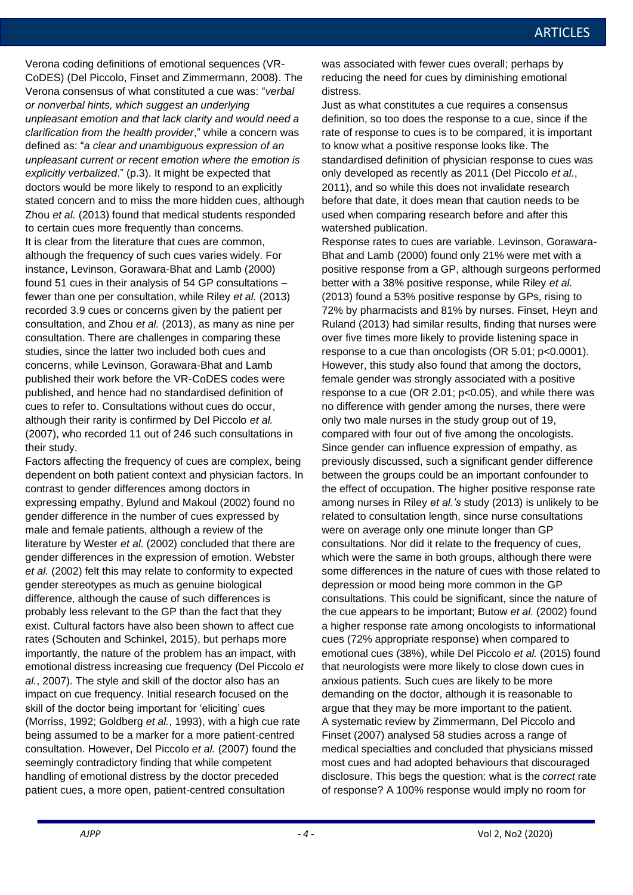Verona coding definitions of emotional sequences (VR-CoDES) (Del Piccolo, Finset and Zimmermann, 2008). The Verona consensus of what constituted a cue was: "*verbal or nonverbal hints, which suggest an underlying unpleasant emotion and that lack clarity and would need a clarification from the health provider*," while a concern was defined as: "*a clear and unambiguous expression of an unpleasant current or recent emotion where the emotion is explicitly verbalized*." (p.3). It might be expected that doctors would be more likely to respond to an explicitly stated concern and to miss the more hidden cues, although Zhou *et al.* (2013) found that medical students responded to certain cues more frequently than concerns. It is clear from the literature that cues are common, although the frequency of such cues varies widely. For instance, Levinson, Gorawara-Bhat and Lamb (2000) found 51 cues in their analysis of 54 GP consultations – fewer than one per consultation, while Riley *et al.* (2013) recorded 3.9 cues or concerns given by the patient per consultation, and Zhou *et al.* (2013), as many as nine per consultation. There are challenges in comparing these studies, since the latter two included both cues and concerns, while Levinson, Gorawara-Bhat and Lamb published their work before the VR-CoDES codes were published, and hence had no standardised definition of cues to refer to. Consultations without cues do occur, although their rarity is confirmed by Del Piccolo *et al.*  (2007), who recorded 11 out of 246 such consultations in their study.

Factors affecting the frequency of cues are complex, being dependent on both patient context and physician factors. In contrast to gender differences among doctors in expressing empathy, Bylund and Makoul (2002) found no gender difference in the number of cues expressed by male and female patients, although a review of the literature by Wester *et al.* (2002) concluded that there are gender differences in the expression of emotion. Webster *et al.* (2002) felt this may relate to conformity to expected gender stereotypes as much as genuine biological difference, although the cause of such differences is probably less relevant to the GP than the fact that they exist. Cultural factors have also been shown to affect cue rates (Schouten and Schinkel, 2015), but perhaps more importantly, the nature of the problem has an impact, with emotional distress increasing cue frequency (Del Piccolo *et al.*, 2007). The style and skill of the doctor also has an impact on cue frequency. Initial research focused on the skill of the doctor being important for 'eliciting' cues (Morriss, 1992; Goldberg *et al.*, 1993), with a high cue rate being assumed to be a marker for a more patient-centred consultation. However, Del Piccolo *et al.* (2007) found the seemingly contradictory finding that while competent handling of emotional distress by the doctor preceded patient cues, a more open, patient-centred consultation

was associated with fewer cues overall; perhaps by reducing the need for cues by diminishing emotional distress.

Just as what constitutes a cue requires a consensus definition, so too does the response to a cue, since if the rate of response to cues is to be compared, it is important to know what a positive response looks like. The standardised definition of physician response to cues was only developed as recently as 2011 (Del Piccolo *et al.*, 2011), and so while this does not invalidate research before that date, it does mean that caution needs to be used when comparing research before and after this watershed publication.

Response rates to cues are variable. Levinson, Gorawara-Bhat and Lamb (2000) found only 21% were met with a positive response from a GP, although surgeons performed better with a 38% positive response, while Riley *et al.* (2013) found a 53% positive response by GPs, rising to 72% by pharmacists and 81% by nurses. Finset, Heyn and Ruland (2013) had similar results, finding that nurses were over five times more likely to provide listening space in response to a cue than oncologists (OR 5.01; p<0.0001). However, this study also found that among the doctors, female gender was strongly associated with a positive response to a cue (OR 2.01; p<0.05), and while there was no difference with gender among the nurses, there were only two male nurses in the study group out of 19, compared with four out of five among the oncologists. Since gender can influence expression of empathy, as previously discussed, such a significant gender difference between the groups could be an important confounder to the effect of occupation. The higher positive response rate among nurses in Riley *et al.'s* study (2013) is unlikely to be related to consultation length, since nurse consultations were on average only one minute longer than GP consultations. Nor did it relate to the frequency of cues, which were the same in both groups, although there were some differences in the nature of cues with those related to depression or mood being more common in the GP consultations. This could be significant, since the nature of the cue appears to be important; Butow *et al.* (2002) found a higher response rate among oncologists to informational cues (72% appropriate response) when compared to emotional cues (38%), while Del Piccolo *et al.* (2015) found that neurologists were more likely to close down cues in anxious patients. Such cues are likely to be more demanding on the doctor, although it is reasonable to argue that they may be more important to the patient. A systematic review by Zimmermann, Del Piccolo and Finset (2007) analysed 58 studies across a range of medical specialties and concluded that physicians missed most cues and had adopted behaviours that discouraged disclosure. This begs the question: what is the *correct* rate of response? A 100% response would imply no room for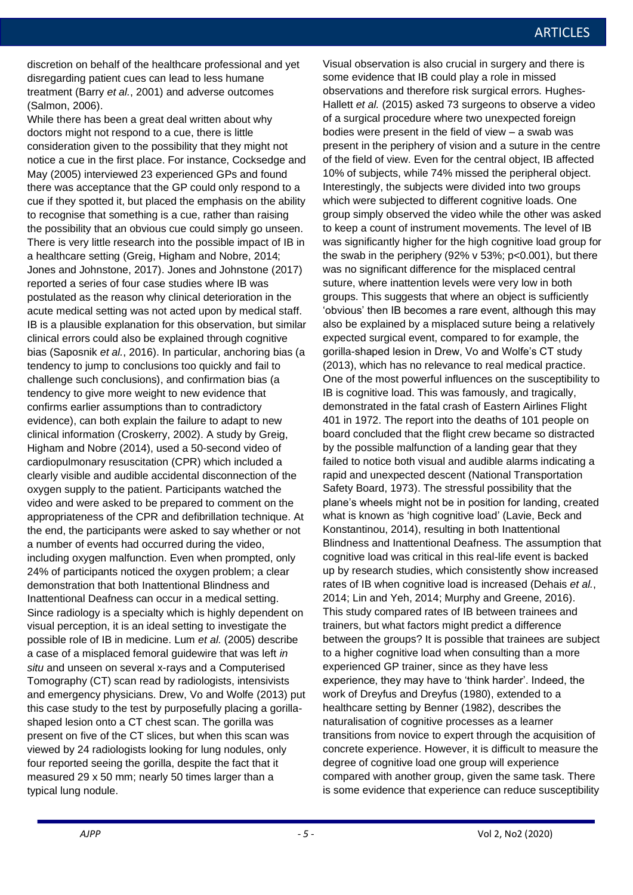discretion on behalf of the healthcare professional and yet disregarding patient cues can lead to less humane treatment (Barry *et al.*, 2001) and adverse outcomes (Salmon, 2006).

While there has been a great deal written about why doctors might not respond to a cue, there is little consideration given to the possibility that they might not notice a cue in the first place. For instance, Cocksedge and May (2005) interviewed 23 experienced GPs and found there was acceptance that the GP could only respond to a cue if they spotted it, but placed the emphasis on the ability to recognise that something is a cue, rather than raising the possibility that an obvious cue could simply go unseen. There is very little research into the possible impact of IB in a healthcare setting (Greig, Higham and Nobre, 2014; Jones and Johnstone, 2017). Jones and Johnstone (2017) reported a series of four case studies where IB was postulated as the reason why clinical deterioration in the acute medical setting was not acted upon by medical staff. IB is a plausible explanation for this observation, but similar clinical errors could also be explained through cognitive bias (Saposnik *et al.*, 2016). In particular, anchoring bias (a tendency to jump to conclusions too quickly and fail to challenge such conclusions), and confirmation bias (a tendency to give more weight to new evidence that confirms earlier assumptions than to contradictory evidence), can both explain the failure to adapt to new clinical information (Croskerry, 2002). A study by Greig, Higham and Nobre (2014), used a 50-second video of cardiopulmonary resuscitation (CPR) which included a clearly visible and audible accidental disconnection of the oxygen supply to the patient. Participants watched the video and were asked to be prepared to comment on the appropriateness of the CPR and defibrillation technique. At the end, the participants were asked to say whether or not a number of events had occurred during the video, including oxygen malfunction. Even when prompted, only 24% of participants noticed the oxygen problem; a clear demonstration that both Inattentional Blindness and Inattentional Deafness can occur in a medical setting. Since radiology is a specialty which is highly dependent on visual perception, it is an ideal setting to investigate the possible role of IB in medicine. Lum *et al.* (2005) describe a case of a misplaced femoral guidewire that was left *in situ* and unseen on several x-rays and a Computerised Tomography (CT) scan read by radiologists, intensivists and emergency physicians. Drew, Vo and Wolfe (2013) put this case study to the test by purposefully placing a gorillashaped lesion onto a CT chest scan. The gorilla was present on five of the CT slices, but when this scan was viewed by 24 radiologists looking for lung nodules, only four reported seeing the gorilla, despite the fact that it measured 29 x 50 mm; nearly 50 times larger than a typical lung nodule.

Visual observation is also crucial in surgery and there is some evidence that IB could play a role in missed observations and therefore risk surgical errors. Hughes-Hallett *et al.* (2015) asked 73 surgeons to observe a video of a surgical procedure where two unexpected foreign bodies were present in the field of view – a swab was present in the periphery of vision and a suture in the centre of the field of view. Even for the central object, IB affected 10% of subjects, while 74% missed the peripheral object. Interestingly, the subjects were divided into two groups which were subjected to different cognitive loads. One group simply observed the video while the other was asked to keep a count of instrument movements. The level of IB was significantly higher for the high cognitive load group for the swab in the periphery (92% v 53%;  $p<0.001$ ), but there was no significant difference for the misplaced central suture, where inattention levels were very low in both groups. This suggests that where an object is sufficiently 'obvious' then IB becomes a rare event, although this may also be explained by a misplaced suture being a relatively expected surgical event, compared to for example, the gorilla-shaped lesion in Drew, Vo and Wolfe's CT study (2013), which has no relevance to real medical practice. One of the most powerful influences on the susceptibility to IB is cognitive load. This was famously, and tragically, demonstrated in the fatal crash of Eastern Airlines Flight 401 in 1972. The report into the deaths of 101 people on board concluded that the flight crew became so distracted by the possible malfunction of a landing gear that they failed to notice both visual and audible alarms indicating a rapid and unexpected descent (National Transportation Safety Board, 1973). The stressful possibility that the plane's wheels might not be in position for landing, created what is known as 'high cognitive load' (Lavie, Beck and Konstantinou, 2014), resulting in both Inattentional Blindness and Inattentional Deafness. The assumption that cognitive load was critical in this real-life event is backed up by research studies, which consistently show increased rates of IB when cognitive load is increased (Dehais *et al.*, 2014; Lin and Yeh, 2014; Murphy and Greene, 2016). This study compared rates of IB between trainees and trainers, but what factors might predict a difference between the groups? It is possible that trainees are subject to a higher cognitive load when consulting than a more experienced GP trainer, since as they have less experience, they may have to 'think harder'. Indeed, the work of Dreyfus and Dreyfus (1980), extended to a healthcare setting by Benner (1982), describes the naturalisation of cognitive processes as a learner transitions from novice to expert through the acquisition of concrete experience. However, it is difficult to measure the degree of cognitive load one group will experience compared with another group, given the same task. There is some evidence that experience can reduce susceptibility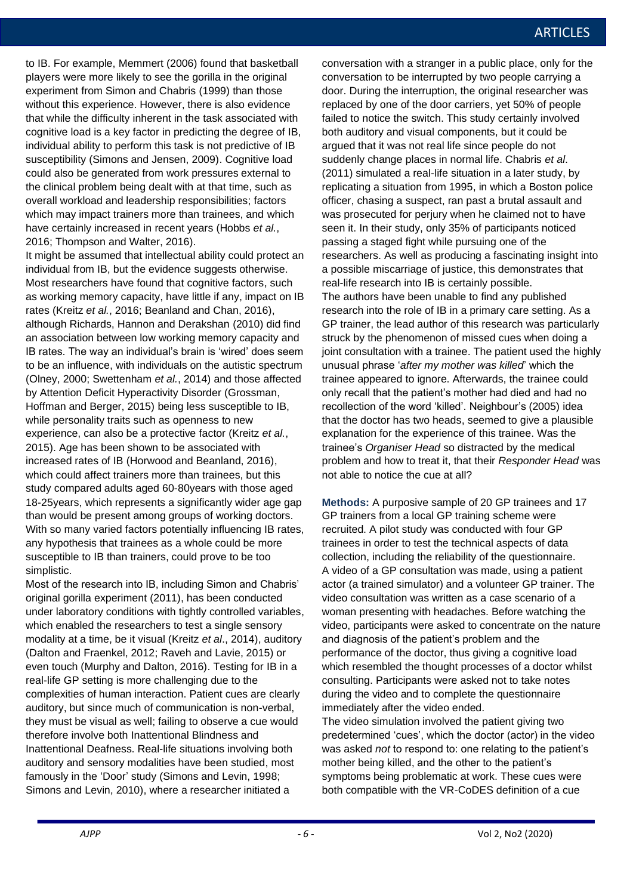to IB. For example, Memmert (2006) found that basketball players were more likely to see the gorilla in the original experiment from Simon and Chabris (1999) than those without this experience. However, there is also evidence that while the difficulty inherent in the task associated with cognitive load is a key factor in predicting the degree of IB, individual ability to perform this task is not predictive of IB susceptibility (Simons and Jensen, 2009). Cognitive load could also be generated from work pressures external to the clinical problem being dealt with at that time, such as overall workload and leadership responsibilities; factors which may impact trainers more than trainees, and which have certainly increased in recent years (Hobbs *et al.*, 2016; Thompson and Walter, 2016).

It might be assumed that intellectual ability could protect an individual from IB, but the evidence suggests otherwise. Most researchers have found that cognitive factors, such as working memory capacity, have little if any, impact on IB rates (Kreitz *et al.*, 2016; Beanland and Chan, 2016), although Richards, Hannon and Derakshan (2010) did find an association between low working memory capacity and IB rates. The way an individual's brain is 'wired' does seem to be an influence, with individuals on the autistic spectrum (Olney, 2000; Swettenham *et al.*, 2014) and those affected by Attention Deficit Hyperactivity Disorder (Grossman, Hoffman and Berger, 2015) being less susceptible to IB, while personality traits such as openness to new experience, can also be a protective factor (Kreitz *et al.*, 2015). Age has been shown to be associated with increased rates of IB (Horwood and Beanland, 2016), which could affect trainers more than trainees, but this study compared adults aged 60-80years with those aged 18-25years, which represents a significantly wider age gap than would be present among groups of working doctors. With so many varied factors potentially influencing IB rates, any hypothesis that trainees as a whole could be more susceptible to IB than trainers, could prove to be too simplistic.

Most of the research into IB, including Simon and Chabris' original gorilla experiment (2011), has been conducted under laboratory conditions with tightly controlled variables, which enabled the researchers to test a single sensory modality at a time, be it visual (Kreitz *et al*., 2014), auditory (Dalton and Fraenkel, 2012; Raveh and Lavie, 2015) or even touch (Murphy and Dalton, 2016). Testing for IB in a real-life GP setting is more challenging due to the complexities of human interaction. Patient cues are clearly auditory, but since much of communication is non-verbal, they must be visual as well; failing to observe a cue would therefore involve both Inattentional Blindness and Inattentional Deafness. Real-life situations involving both auditory and sensory modalities have been studied, most famously in the 'Door' study (Simons and Levin, 1998; Simons and Levin, 2010), where a researcher initiated a

conversation with a stranger in a public place, only for the conversation to be interrupted by two people carrying a door. During the interruption, the original researcher was replaced by one of the door carriers, yet 50% of people failed to notice the switch. This study certainly involved both auditory and visual components, but it could be argued that it was not real life since people do not suddenly change places in normal life. Chabris *et al*. (2011) simulated a real-life situation in a later study, by replicating a situation from 1995, in which a Boston police officer, chasing a suspect, ran past a brutal assault and was prosecuted for perjury when he claimed not to have seen it. In their study, only 35% of participants noticed passing a staged fight while pursuing one of the researchers. As well as producing a fascinating insight into a possible miscarriage of justice, this demonstrates that real-life research into IB is certainly possible. The authors have been unable to find any published research into the role of IB in a primary care setting. As a GP trainer, the lead author of this research was particularly struck by the phenomenon of missed cues when doing a joint consultation with a trainee. The patient used the highly unusual phrase '*after my mother was killed*' which the trainee appeared to ignore. Afterwards, the trainee could only recall that the patient's mother had died and had no recollection of the word 'killed'. Neighbour's (2005) idea that the doctor has two heads, seemed to give a plausible explanation for the experience of this trainee. Was the trainee's *Organiser Head* so distracted by the medical problem and how to treat it, that their *Responder Head* was not able to notice the cue at all?

**Methods:** A purposive sample of 20 GP trainees and 17 GP trainers from a local GP training scheme were recruited. A pilot study was conducted with four GP trainees in order to test the technical aspects of data collection, including the reliability of the questionnaire. A video of a GP consultation was made, using a patient actor (a trained simulator) and a volunteer GP trainer. The video consultation was written as a case scenario of a woman presenting with headaches. Before watching the video, participants were asked to concentrate on the nature and diagnosis of the patient's problem and the performance of the doctor, thus giving a cognitive load which resembled the thought processes of a doctor whilst consulting. Participants were asked not to take notes during the video and to complete the questionnaire immediately after the video ended.

The video simulation involved the patient giving two predetermined 'cues', which the doctor (actor) in the video was asked *not* to respond to: one relating to the patient's mother being killed, and the other to the patient's symptoms being problematic at work. These cues were both compatible with the VR-CoDES definition of a cue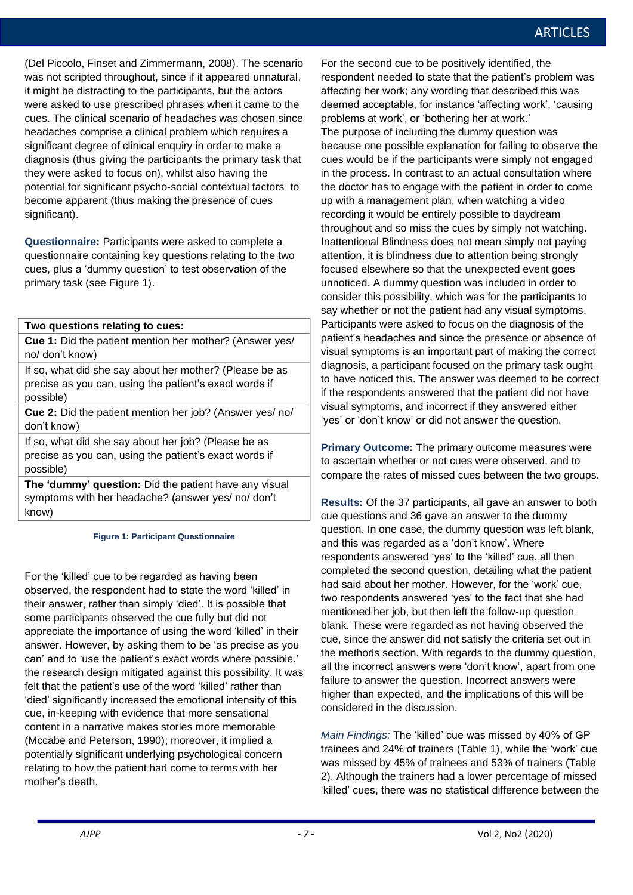(Del Piccolo, Finset and Zimmermann, 2008). The scenario was not scripted throughout, since if it appeared unnatural, it might be distracting to the participants, but the actors were asked to use prescribed phrases when it came to the cues. The clinical scenario of headaches was chosen since headaches comprise a clinical problem which requires a significant degree of clinical enquiry in order to make a diagnosis (thus giving the participants the primary task that they were asked to focus on), whilst also having the potential for significant psycho-social contextual factors to become apparent (thus making the presence of cues significant).

**Questionnaire:** Participants were asked to complete a questionnaire containing key questions relating to the two cues, plus a 'dummy question' to test observation of the primary task (see Figure 1).

### **Two questions relating to cues:**

**Cue 1:** Did the patient mention her mother? (Answer yes/ no/ don't know)

If so, what did she say about her mother? (Please be as precise as you can, using the patient's exact words if possible)

**Cue 2:** Did the patient mention her job? (Answer yes/ no/ don't know)

If so, what did she say about her job? (Please be as precise as you can, using the patient's exact words if possible)

**The 'dummy' question:** Did the patient have any visual symptoms with her headache? (answer yes/ no/ don't know)

### **Figure 1: Participant Questionnaire**

For the 'killed' cue to be regarded as having been observed, the respondent had to state the word 'killed' in their answer, rather than simply 'died'. It is possible that some participants observed the cue fully but did not appreciate the importance of using the word 'killed' in their answer. However, by asking them to be 'as precise as you can' and to 'use the patient's exact words where possible,' the research design mitigated against this possibility. It was felt that the patient's use of the word 'killed' rather than 'died' significantly increased the emotional intensity of this cue, in-keeping with evidence that more sensational content in a narrative makes stories more memorable (Mccabe and Peterson, 1990); moreover, it implied a potentially significant underlying psychological concern relating to how the patient had come to terms with her mother's death.

For the second cue to be positively identified, the respondent needed to state that the patient's problem was affecting her work; any wording that described this was deemed acceptable, for instance 'affecting work', 'causing problems at work', or 'bothering her at work.' The purpose of including the dummy question was because one possible explanation for failing to observe the cues would be if the participants were simply not engaged in the process. In contrast to an actual consultation where the doctor has to engage with the patient in order to come up with a management plan, when watching a video recording it would be entirely possible to daydream throughout and so miss the cues by simply not watching. Inattentional Blindness does not mean simply not paying attention, it is blindness due to attention being strongly focused elsewhere so that the unexpected event goes unnoticed. A dummy question was included in order to consider this possibility, which was for the participants to say whether or not the patient had any visual symptoms. Participants were asked to focus on the diagnosis of the patient's headaches and since the presence or absence of visual symptoms is an important part of making the correct diagnosis, a participant focused on the primary task ought to have noticed this. The answer was deemed to be correct if the respondents answered that the patient did not have visual symptoms, and incorrect if they answered either 'yes' or 'don't know' or did not answer the question.

**Primary Outcome:** The primary outcome measures were to ascertain whether or not cues were observed, and to compare the rates of missed cues between the two groups.

**Results:** Of the 37 participants, all gave an answer to both cue questions and 36 gave an answer to the dummy question. In one case, the dummy question was left blank, and this was regarded as a 'don't know'. Where respondents answered 'yes' to the 'killed' cue, all then completed the second question, detailing what the patient had said about her mother. However, for the 'work' cue, two respondents answered 'yes' to the fact that she had mentioned her job, but then left the follow-up question blank. These were regarded as not having observed the cue, since the answer did not satisfy the criteria set out in the methods section. With regards to the dummy question, all the incorrect answers were 'don't know', apart from one failure to answer the question. Incorrect answers were higher than expected, and the implications of this will be considered in the discussion.

*Main Findings:* The 'killed' cue was missed by 40% of GP trainees and 24% of trainers (Table 1), while the 'work' cue was missed by 45% of trainees and 53% of trainers (Table 2). Although the trainers had a lower percentage of missed 'killed' cues, there was no statistical difference between the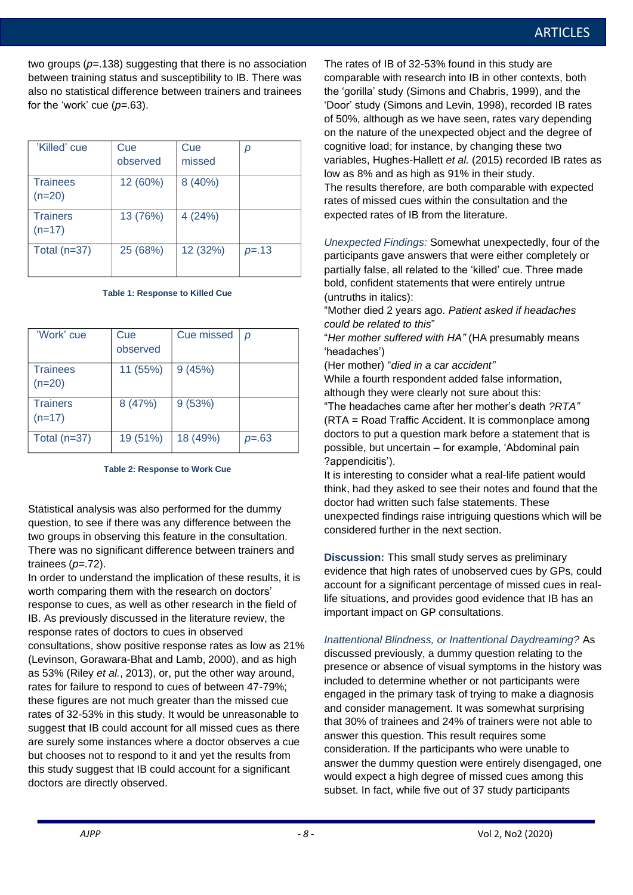two groups (*p=*.138) suggesting that there is no association between training status and susceptibility to IB. There was also no statistical difference between trainers and trainees for the 'work' cue (*p=*.63).

| 'Killed' cue                | Cue<br>observed | Cue<br>missed | р        |
|-----------------------------|-----------------|---------------|----------|
| <b>Trainees</b><br>$(n=20)$ | 12 (60%)        | 8 (40%)       |          |
| <b>Trainers</b><br>$(n=17)$ | 13 (76%)        | 4(24%)        |          |
| Total $(n=37)$              | 25 (68%)        | 12 (32%)      | $p = 13$ |

**Table 1: Response to Killed Cue**

| 'Work' cue      | Cue      | <b>Cue missed</b> | p             |
|-----------------|----------|-------------------|---------------|
|                 | observed |                   |               |
| <b>Trainees</b> | 11 (55%) | 9(45%)            |               |
| $(n=20)$        |          |                   |               |
| <b>Trainers</b> | 8 (47%)  | 9(53%)            |               |
| $(n=17)$        |          |                   |               |
| Total $(n=37)$  | 19 (51%) | 18 (49%)          | <i>p</i> =.63 |
|                 |          |                   |               |

### **Table 2: Response to Work Cue**

Statistical analysis was also performed for the dummy question, to see if there was any difference between the two groups in observing this feature in the consultation. There was no significant difference between trainers and trainees (*p=*.72).

In order to understand the implication of these results, it is worth comparing them with the research on doctors' response to cues, as well as other research in the field of IB. As previously discussed in the literature review, the response rates of doctors to cues in observed consultations, show positive response rates as low as 21% (Levinson, Gorawara-Bhat and Lamb, 2000), and as high as 53% (Riley *et al.*, 2013), or, put the other way around, rates for failure to respond to cues of between 47-79%; these figures are not much greater than the missed cue rates of 32-53% in this study. It would be unreasonable to suggest that IB could account for all missed cues as there are surely some instances where a doctor observes a cue but chooses not to respond to it and yet the results from this study suggest that IB could account for a significant doctors are directly observed.

The rates of IB of 32-53% found in this study are comparable with research into IB in other contexts, both the 'gorilla' study (Simons and Chabris, 1999), and the 'Door' study (Simons and Levin, 1998), recorded IB rates of 50%, although as we have seen, rates vary depending on the nature of the unexpected object and the degree of cognitive load; for instance, by changing these two variables, Hughes-Hallett *et al.* (2015) recorded IB rates as low as 8% and as high as 91% in their study. The results therefore, are both comparable with expected rates of missed cues within the consultation and the expected rates of IB from the literature.

*Unexpected Findings:* Somewhat unexpectedly, four of the participants gave answers that were either completely or partially false, all related to the 'killed' cue. Three made bold, confident statements that were entirely untrue (untruths in italics):

"Mother died 2 years ago. *Patient asked if headaches could be related to this*"

"*Her mother suffered with HA"* (HA presumably means 'headaches')

(Her mother) "*died in a car accident"*

While a fourth respondent added false information, although they were clearly not sure about this:

"The headaches came after her mother's death *?RTA"* (RTA = Road Traffic Accident. It is commonplace among doctors to put a question mark before a statement that is possible, but uncertain – for example, 'Abdominal pain ?appendicitis').

It is interesting to consider what a real-life patient would think, had they asked to see their notes and found that the doctor had written such false statements. These unexpected findings raise intriguing questions which will be considered further in the next section.

**Discussion:** This small study serves as preliminary evidence that high rates of unobserved cues by GPs, could account for a significant percentage of missed cues in reallife situations, and provides good evidence that IB has an important impact on GP consultations.

*Inattentional Blindness, or Inattentional Daydreaming?* As discussed previously, a dummy question relating to the presence or absence of visual symptoms in the history was included to determine whether or not participants were engaged in the primary task of trying to make a diagnosis and consider management. It was somewhat surprising that 30% of trainees and 24% of trainers were not able to answer this question. This result requires some consideration. If the participants who were unable to answer the dummy question were entirely disengaged, one would expect a high degree of missed cues among this subset. In fact, while five out of 37 study participants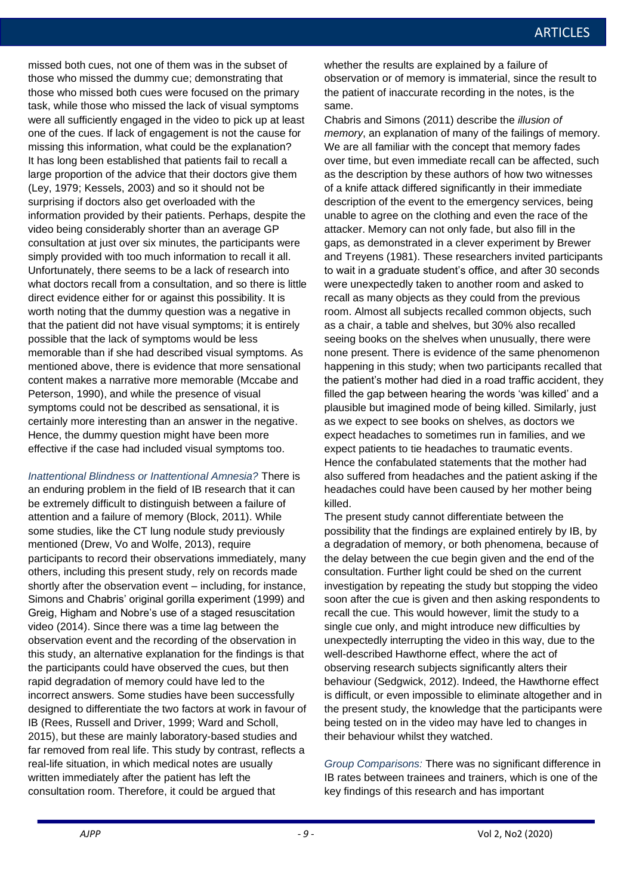missed both cues, not one of them was in the subset of those who missed the dummy cue; demonstrating that those who missed both cues were focused on the primary task, while those who missed the lack of visual symptoms were all sufficiently engaged in the video to pick up at least one of the cues. If lack of engagement is not the cause for missing this information, what could be the explanation? It has long been established that patients fail to recall a large proportion of the advice that their doctors give them (Ley, 1979; Kessels, 2003) and so it should not be surprising if doctors also get overloaded with the information provided by their patients. Perhaps, despite the video being considerably shorter than an average GP consultation at just over six minutes, the participants were simply provided with too much information to recall it all. Unfortunately, there seems to be a lack of research into what doctors recall from a consultation, and so there is little direct evidence either for or against this possibility. It is worth noting that the dummy question was a negative in that the patient did not have visual symptoms; it is entirely possible that the lack of symptoms would be less memorable than if she had described visual symptoms. As mentioned above, there is evidence that more sensational content makes a narrative more memorable (Mccabe and Peterson, 1990), and while the presence of visual symptoms could not be described as sensational, it is certainly more interesting than an answer in the negative. Hence, the dummy question might have been more effective if the case had included visual symptoms too.

*Inattentional Blindness or Inattentional Amnesia?* There is an enduring problem in the field of IB research that it can be extremely difficult to distinguish between a failure of attention and a failure of memory (Block, 2011). While some studies, like the CT lung nodule study previously mentioned (Drew, Vo and Wolfe, 2013), require participants to record their observations immediately, many others, including this present study, rely on records made shortly after the observation event – including, for instance, Simons and Chabris' original gorilla experiment (1999) and Greig, Higham and Nobre's use of a staged resuscitation video (2014). Since there was a time lag between the observation event and the recording of the observation in this study, an alternative explanation for the findings is that the participants could have observed the cues, but then rapid degradation of memory could have led to the incorrect answers. Some studies have been successfully designed to differentiate the two factors at work in favour of IB (Rees, Russell and Driver, 1999; Ward and Scholl, 2015), but these are mainly laboratory-based studies and far removed from real life. This study by contrast, reflects a real-life situation, in which medical notes are usually written immediately after the patient has left the consultation room. Therefore, it could be argued that

whether the results are explained by a failure of observation or of memory is immaterial, since the result to the patient of inaccurate recording in the notes, is the same.

Chabris and Simons (2011) describe the *illusion of memory*, an explanation of many of the failings of memory. We are all familiar with the concept that memory fades over time, but even immediate recall can be affected, such as the description by these authors of how two witnesses of a knife attack differed significantly in their immediate description of the event to the emergency services, being unable to agree on the clothing and even the race of the attacker. Memory can not only fade, but also fill in the gaps, as demonstrated in a clever experiment by Brewer and Treyens (1981). These researchers invited participants to wait in a graduate student's office, and after 30 seconds were unexpectedly taken to another room and asked to recall as many objects as they could from the previous room. Almost all subjects recalled common objects, such as a chair, a table and shelves, but 30% also recalled seeing books on the shelves when unusually, there were none present. There is evidence of the same phenomenon happening in this study; when two participants recalled that the patient's mother had died in a road traffic accident, they filled the gap between hearing the words 'was killed' and a plausible but imagined mode of being killed. Similarly, just as we expect to see books on shelves, as doctors we expect headaches to sometimes run in families, and we expect patients to tie headaches to traumatic events. Hence the confabulated statements that the mother had also suffered from headaches and the patient asking if the headaches could have been caused by her mother being killed.

The present study cannot differentiate between the possibility that the findings are explained entirely by IB, by a degradation of memory, or both phenomena, because of the delay between the cue begin given and the end of the consultation. Further light could be shed on the current investigation by repeating the study but stopping the video soon after the cue is given and then asking respondents to recall the cue. This would however, limit the study to a single cue only, and might introduce new difficulties by unexpectedly interrupting the video in this way, due to the well-described Hawthorne effect, where the act of observing research subjects significantly alters their behaviour (Sedgwick, 2012). Indeed, the Hawthorne effect is difficult, or even impossible to eliminate altogether and in the present study, the knowledge that the participants were being tested on in the video may have led to changes in their behaviour whilst they watched.

*Group Comparisons:* There was no significant difference in IB rates between trainees and trainers, which is one of the key findings of this research and has important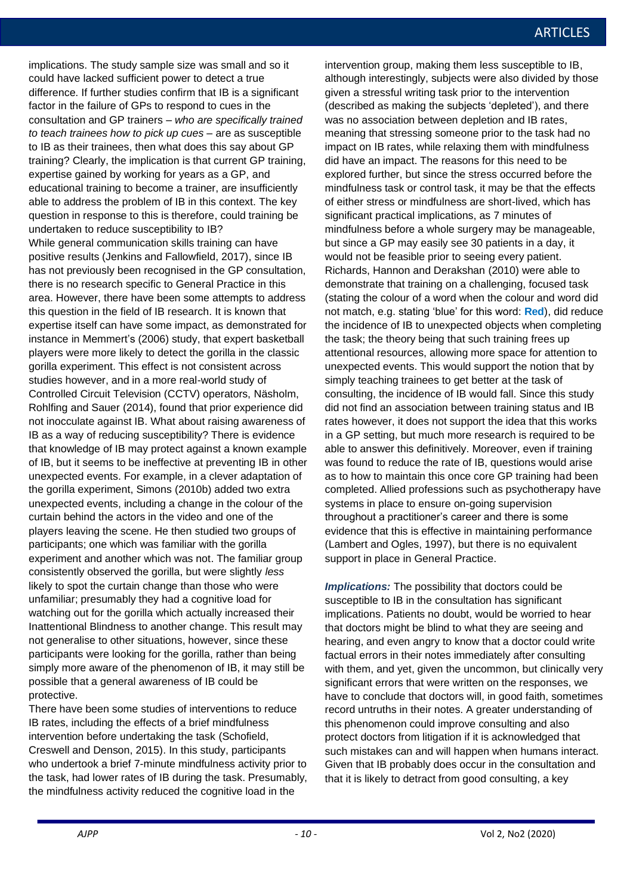implications. The study sample size was small and so it could have lacked sufficient power to detect a true difference. If further studies confirm that IB is a significant factor in the failure of GPs to respond to cues in the consultation and GP trainers – *who are specifically trained to teach trainees how to pick up cues* – are as susceptible to IB as their trainees, then what does this say about GP training? Clearly, the implication is that current GP training, expertise gained by working for years as a GP, and educational training to become a trainer, are insufficiently able to address the problem of IB in this context. The key question in response to this is therefore, could training be undertaken to reduce susceptibility to IB? While general communication skills training can have positive results (Jenkins and Fallowfield, 2017), since IB has not previously been recognised in the GP consultation, there is no research specific to General Practice in this area. However, there have been some attempts to address this question in the field of IB research. It is known that expertise itself can have some impact, as demonstrated for instance in Memmert's (2006) study, that expert basketball players were more likely to detect the gorilla in the classic gorilla experiment. This effect is not consistent across studies however, and in a more real-world study of Controlled Circuit Television (CCTV) operators, Näsholm, Rohlfing and Sauer (2014), found that prior experience did not inocculate against IB. What about raising awareness of IB as a way of reducing susceptibility? There is evidence that knowledge of IB may protect against a known example of IB, but it seems to be ineffective at preventing IB in other unexpected events. For example, in a clever adaptation of the gorilla experiment, Simons (2010b) added two extra unexpected events, including a change in the colour of the curtain behind the actors in the video and one of the players leaving the scene. He then studied two groups of participants; one which was familiar with the gorilla experiment and another which was not. The familiar group consistently observed the gorilla, but were slightly *less* likely to spot the curtain change than those who were unfamiliar; presumably they had a cognitive load for watching out for the gorilla which actually increased their Inattentional Blindness to another change. This result may not generalise to other situations, however, since these participants were looking for the gorilla, rather than being simply more aware of the phenomenon of IB, it may still be possible that a general awareness of IB could be protective.

There have been some studies of interventions to reduce IB rates, including the effects of a brief mindfulness intervention before undertaking the task (Schofield, Creswell and Denson, 2015). In this study, participants who undertook a brief 7-minute mindfulness activity prior to the task, had lower rates of IB during the task. Presumably, the mindfulness activity reduced the cognitive load in the

intervention group, making them less susceptible to IB, although interestingly, subjects were also divided by those given a stressful writing task prior to the intervention (described as making the subjects 'depleted'), and there was no association between depletion and IB rates, meaning that stressing someone prior to the task had no impact on IB rates, while relaxing them with mindfulness did have an impact. The reasons for this need to be explored further, but since the stress occurred before the mindfulness task or control task, it may be that the effects of either stress or mindfulness are short-lived, which has significant practical implications, as 7 minutes of mindfulness before a whole surgery may be manageable, but since a GP may easily see 30 patients in a day, it would not be feasible prior to seeing every patient. Richards, Hannon and Derakshan (2010) were able to demonstrate that training on a challenging, focused task (stating the colour of a word when the colour and word did not match, e.g. stating 'blue' for this word: **Red**), did reduce the incidence of IB to unexpected objects when completing the task; the theory being that such training frees up attentional resources, allowing more space for attention to unexpected events. This would support the notion that by simply teaching trainees to get better at the task of consulting, the incidence of IB would fall. Since this study did not find an association between training status and IB rates however, it does not support the idea that this works in a GP setting, but much more research is required to be able to answer this definitively. Moreover, even if training was found to reduce the rate of IB, questions would arise as to how to maintain this once core GP training had been completed. Allied professions such as psychotherapy have systems in place to ensure on-going supervision throughout a practitioner's career and there is some evidence that this is effective in maintaining performance (Lambert and Ogles, 1997), but there is no equivalent support in place in General Practice.

*Implications:* The possibility that doctors could be susceptible to IB in the consultation has significant implications. Patients no doubt, would be worried to hear that doctors might be blind to what they are seeing and hearing, and even angry to know that a doctor could write factual errors in their notes immediately after consulting with them, and yet, given the uncommon, but clinically very significant errors that were written on the responses, we have to conclude that doctors will, in good faith, sometimes record untruths in their notes. A greater understanding of this phenomenon could improve consulting and also protect doctors from litigation if it is acknowledged that such mistakes can and will happen when humans interact. Given that IB probably does occur in the consultation and that it is likely to detract from good consulting, a key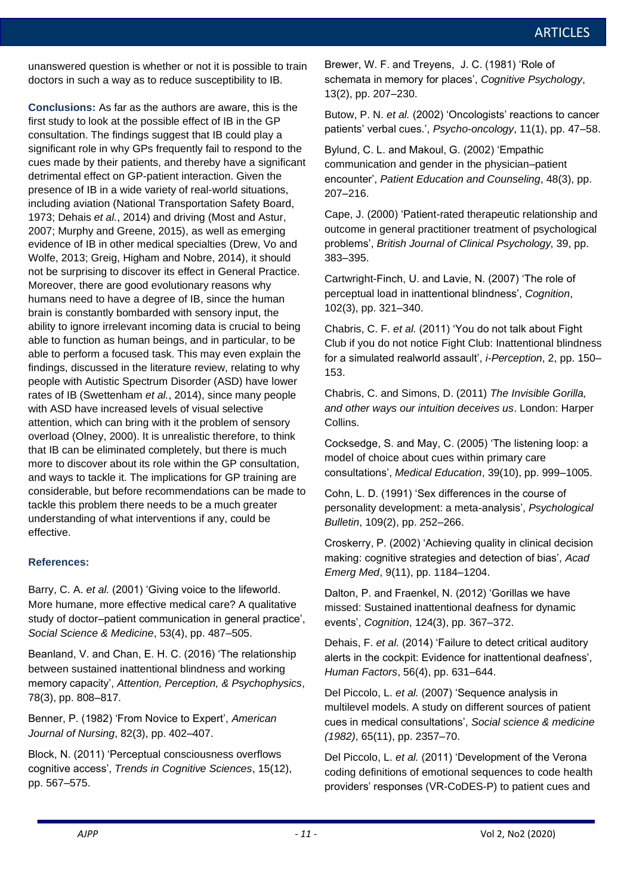unanswered question is whether or not it is possible to train doctors in such a way as to reduce susceptibility to IB.

**Conclusions:** As far as the authors are aware, this is the first study to look at the possible effect of IB in the GP consultation. The findings suggest that IB could play a significant role in why GPs frequently fail to respond to the cues made by their patients, and thereby have a significant detrimental effect on GP-patient interaction. Given the including aviation (National Transportation Safety Board, 1973; Dehais *et al.*, 2014) and driving (Most and Astur, 2007; Murphy and Greene, 2015), as well as emerging Wolfe, 2013; Greig, Higham and Nobre, 2014), it should not be surprising to discover its effect in General Practice. Moreover, there are good evolutionary reasons why humans need to have a degree of IB, since the human brain is constantly bombarded with sensory input, the ability to ignore irrelevant incoming data is crucial to being able to function as human beings, and in particular, to be able to perform a focused task. This may even explain the findings, discussed in the literature review, relating to why people with Autistic Spectrum Disorder (ASD) have lower rates of IB (Swettenham *et al.*, 2014), since many people with ASD have increased levels of visual selective attention, which can bring with it the problem of sensory that IB can be eliminated completely, but there is much more to discover about its role within the GP consultation, and ways to tackle it. The implications for GP training are considerable, but before recommendations can be made to tackle this problem there needs to be a much greater understanding of what interventions if any, could be images for the individual subset of the individual subset of the individual subset of the individual subset of the individual subset of the individual subset of the individual subset of the individual subset of the individ presence of IB in a wide variety of real-world situations, evidence of IB in other medical specialties (Drew, Vo and overload (Olney, 2000). It is unrealistic therefore, to think

## **References:**

Barry, C. A. *et al.* (2001) 'Giving voice to the lifeworld. More humane, more effective medical care? A qualitative study of doctor–patient communication in general practice', *Social Science & Medicine*, 53(4), pp. 487–505.

Beanland, V. and Chan, E. H. C. (2016) 'The relationship between sustained inattentional blindness and working memory capacity', *Attention, Perception, & Psychophysics*, 78(3), pp. 808–817.

Benner, P. (1982) 'From Novice to Expert', *American Journal of Nursing*, 82(3), pp. 402–407.

Block, N. (2011) 'Perceptual consciousness overflows cognitive access', *Trends in Cognitive Sciences*, 15(12), pp. 567–575.

Brewer, W. F. and Treyens, J. C. (1981) 'Role of schemata in memory for places', *Cognitive Psychology*,  $F(3(2), \text{ pp. } 207-230.$  $\alpha$  difference between matrix  $\alpha$ 

Butow, P. N. *et al.* (2002) 'Oncologists' reactions to cancer patients' verbal cues.', *Psycho-oncology*, 11(1), pp. 47–58.

Bylund, C. L. and Makoul, G. (2002) 'Empathic bytand, C. E. and Makodi, C. (2002) Empathion<br>communication and gender in the physician–patient encounter', *Patient Education and Counseling*, 48(3), pp. 207–216.

Cape, J. (2000) 'Patient-rated therapeutic relationship and outcome in general practitioner treatment of psychological problems', *British Journal of Clinical Psychology*, 39, pp. 383–395.

Cartwright-Finch, U. and Lavie, N. (2007) 'The role of perceptual load in inattentional blindness', *Cognition*, 102(3), pp. 321–340.

**Figure 4: Percentage ratio of male to female images in subjects** Chabris, C. F. *et al.* (2011) 'You do not talk about Fight Club if you do not notice Fight Club: Inattentional blindness for a simulated realworld assault', *i-Perception*, 2, pp. 150– 153.

 $Collins.$ Chabris, C. and Simons, D. (2011) *The Invisible Gorilla, and other ways our intuition deceives us*. London: Harper

 $\sim$  that there is a male bias all three is a male bias across all three is all three is all three is all three is all three is all three is all three is all three is all three is all three is all three is all three is al Cocksedge, S. and May, C. (2005) 'The listening loop: a model of choice about cues within primary care consultations', *Medical Education*, 39(10), pp. 999–1005.

Cohn, L. D. (1991) 'Sex differences in the course of personality development: a meta-analysis', *Psychological Bulletin*, 109(2), pp. 252–266.  $\mathcal{L}$  and  $\mathcal{L}$  is processed to consider the percentage to consider the percentage of percentage  $\mathcal{L}$ 

Croskerry, P. (2002) 'Achieving quality in clinical decision making: cognitive strategies and detection of bias', *Acad Emerg Med*, 9(11), pp. 1184–1204.

Dalton, P. and Fraenkel, N. (2012) 'Gorillas we have missed: Sustained inattentional deafness for dynamic events', *Cognition*, 124(3), pp. 367–372.

Dehais, F. *et al.* (2014) 'Failure to detect critical auditory alerts in the cockpit: Evidence for inattentional deafness', *Human Factors*, 56(4), pp. 631–644.

Del Piccolo, L. *et al.* (2007) 'Sequence analysis in multilevel models. A study on different sources of patient cues in medical consultations', *Social science & medicine (1982)*, 65(11), pp. 2357–70.

Del Piccolo, L. *et al.* (2011) 'Development of the Verona coding definitions of emotional sequences to code health providers' responses (VR-CoDES-P) to patient cues and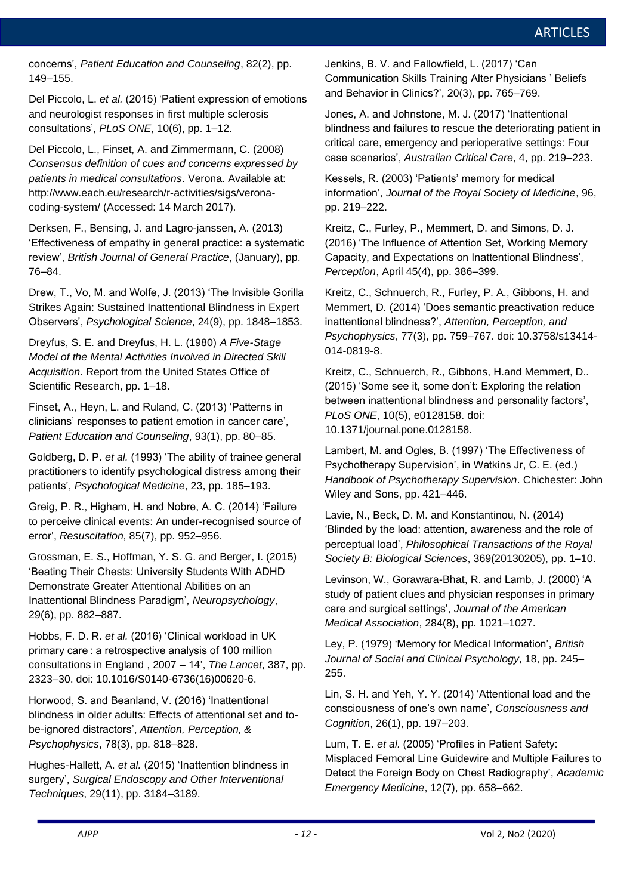concerns', *Patient Education and Counseling*, 82(2), pp. 149–155.

Del Piccolo, L. *et al.* (2015) 'Patient expression of emotions and neurologist responses in first multiple sclerosis consultations', *PLoS ONE*, 10(6), pp. 1–12.

Del Piccolo, L., Finset, A. and Zimmermann, C. (2008) *Consensus definition of cues and concerns expressed by patients in medical consultations*. Verona. Available at: http://www.each.eu/research/r-activities/sigs/veronacoding-system/ (Accessed: 14 March 2017).

Derksen, F., Bensing, J. and Lagro-janssen, A. (2013) 'Effectiveness of empathy in general practice: a systematic review', *British Journal of General Practice*, (January), pp. 76–84.

Drew, T., Vo, M. and Wolfe, J. (2013) 'The Invisible Gorilla Strikes Again: Sustained Inattentional Blindness in Expert Observers', *Psychological Science*, 24(9), pp. 1848–1853.

Dreyfus, S. E. and Dreyfus, H. L. (1980) *A Five-Stage Model of the Mental Activities Involved in Directed Skill Acquisition*. Report from the United States Office of Scientific Research, pp. 1–18.

Finset, A., Heyn, L. and Ruland, C. (2013) 'Patterns in clinicians' responses to patient emotion in cancer care', *Patient Education and Counseling*, 93(1), pp. 80–85.

Goldberg, D. P. *et al.* (1993) 'The ability of trainee general practitioners to identify psychological distress among their patients', *Psychological Medicine*, 23, pp. 185–193.

Greig, P. R., Higham, H. and Nobre, A. C. (2014) 'Failure to perceive clinical events: An under-recognised source of error', *Resuscitation*, 85(7), pp. 952–956.

Grossman, E. S., Hoffman, Y. S. G. and Berger, I. (2015) 'Beating Their Chests: University Students With ADHD Demonstrate Greater Attentional Abilities on an Inattentional Blindness Paradigm', *Neuropsychology*, 29(6), pp. 882–887.

Hobbs, F. D. R. *et al.* (2016) 'Clinical workload in UK primary care : a retrospective analysis of 100 million consultations in England , 2007 – 14', *The Lancet*, 387, pp. 2323–30. doi: 10.1016/S0140-6736(16)00620-6.

Horwood, S. and Beanland, V. (2016) 'Inattentional blindness in older adults: Effects of attentional set and tobe-ignored distractors', *Attention, Perception, & Psychophysics*, 78(3), pp. 818–828.

Hughes-Hallett, A. *et al.* (2015) 'Inattention blindness in surgery', *Surgical Endoscopy and Other Interventional Techniques*, 29(11), pp. 3184–3189.

Jenkins, B. V. and Fallowfield, L. (2017) 'Can Communication Skills Training Alter Physicians ' Beliefs and Behavior in Clinics?', 20(3), pp. 765–769.

Jones, A. and Johnstone, M. J. (2017) 'Inattentional blindness and failures to rescue the deteriorating patient in critical care, emergency and perioperative settings: Four case scenarios', *Australian Critical Care*, 4, pp. 219–223.

Kessels, R. (2003) 'Patients' memory for medical information', *Journal of the Royal Society of Medicine*, 96, pp. 219–222.

Kreitz, C., Furley, P., Memmert, D. and Simons, D. J. (2016) 'The Influence of Attention Set, Working Memory Capacity, and Expectations on Inattentional Blindness', *Perception*, April 45(4), pp. 386–399.

Kreitz, C., Schnuerch, R., Furley, P. A., Gibbons, H. and Memmert, D*.* (2014) 'Does semantic preactivation reduce inattentional blindness?', *Attention, Perception, and Psychophysics*, 77(3), pp. 759–767. doi: 10.3758/s13414- 014-0819-8.

Kreitz, C., Schnuerch, R., Gibbons, H.and Memmert, D.*.* (2015) 'Some see it, some don't: Exploring the relation between inattentional blindness and personality factors', *PLoS ONE*, 10(5), e0128158. doi: 10.1371/journal.pone.0128158.

Lambert, M. and Ogles, B. (1997) 'The Effectiveness of Psychotherapy Supervision', in Watkins Jr, C. E. (ed.) *Handbook of Psychotherapy Supervision*. Chichester: John Wiley and Sons, pp. 421–446.

Lavie, N., Beck, D. M. and Konstantinou, N. (2014) 'Blinded by the load: attention, awareness and the role of perceptual load', *Philosophical Transactions of the Royal Society B: Biological Sciences*, 369(20130205), pp. 1–10.

Levinson, W., Gorawara-Bhat, R. and Lamb, J. (2000) 'A study of patient clues and physician responses in primary care and surgical settings', *Journal of the American Medical Association*, 284(8), pp. 1021–1027.

Ley, P. (1979) 'Memory for Medical Information', *British Journal of Social and Clinical Psychology*, 18, pp. 245– 255.

Lin, S. H. and Yeh, Y. Y. (2014) 'Attentional load and the consciousness of one's own name', *Consciousness and Cognition*, 26(1), pp. 197–203.

Lum, T. E. *et al.* (2005) 'Profiles in Patient Safety: Misplaced Femoral Line Guidewire and Multiple Failures to Detect the Foreign Body on Chest Radiography', *Academic Emergency Medicine*, 12(7), pp. 658–662.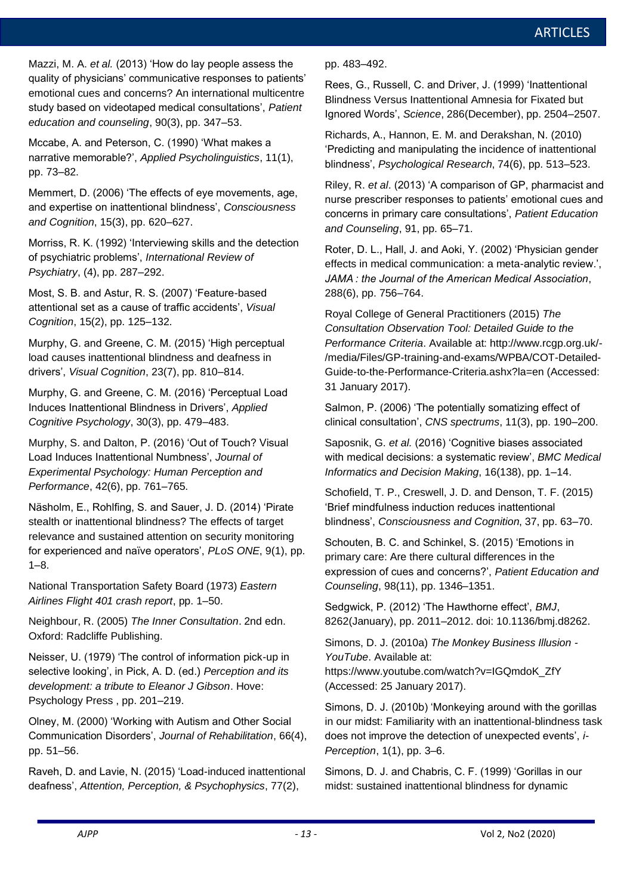Mazzi, M. A. *et al.* (2013) 'How do lay people assess the quality of physicians' communicative responses to patients' emotional cues and concerns? An international multicentre study based on videotaped medical consultations', *Patient education and counseling*, 90(3), pp. 347–53.

Mccabe, A. and Peterson, C. (1990) 'What makes a narrative memorable?', *Applied Psycholinguistics*, 11(1), pp. 73–82.

Memmert, D. (2006) 'The effects of eye movements, age, and expertise on inattentional blindness', *Consciousness and Cognition*, 15(3), pp. 620–627.

Morriss, R. K. (1992) 'Interviewing skills and the detection of psychiatric problems', *International Review of Psychiatry*, (4), pp. 287–292.

Most, S. B. and Astur, R. S. (2007) 'Feature-based attentional set as a cause of traffic accidents', *Visual Cognition*, 15(2), pp. 125–132.

Murphy, G. and Greene, C. M. (2015) 'High perceptual load causes inattentional blindness and deafness in drivers', *Visual Cognition*, 23(7), pp. 810–814.

Murphy, G. and Greene, C. M. (2016) 'Perceptual Load Induces Inattentional Blindness in Drivers', *Applied Cognitive Psychology*, 30(3), pp. 479–483.

Murphy, S. and Dalton, P. (2016) 'Out of Touch? Visual Load Induces Inattentional Numbness', *Journal of Experimental Psychology: Human Perception and Performance*, 42(6), pp. 761–765.

Näsholm, E., Rohlfing, S. and Sauer, J. D. (2014) 'Pirate stealth or inattentional blindness? The effects of target relevance and sustained attention on security monitoring for experienced and naïve operators', *PLoS ONE*, 9(1), pp.  $1 - 8$ .

National Transportation Safety Board (1973) *Eastern Airlines Flight 401 crash report*, pp. 1–50.

Neighbour, R. (2005) *The Inner Consultation*. 2nd edn. Oxford: Radcliffe Publishing.

Neisser, U. (1979) 'The control of information pick-up in selective looking', in Pick, A. D. (ed.) *Perception and its development: a tribute to Eleanor J Gibson*. Hove: Psychology Press , pp. 201–219.

Olney, M. (2000) 'Working with Autism and Other Social Communication Disorders', *Journal of Rehabilitation*, 66(4), pp. 51–56.

Raveh, D. and Lavie, N. (2015) 'Load-induced inattentional deafness', *Attention, Perception, & Psychophysics*, 77(2),

pp. 483–492.

Rees, G., Russell, C. and Driver, J. (1999) 'Inattentional Blindness Versus Inattentional Amnesia for Fixated but Ignored Words', *Science*, 286(December), pp. 2504–2507.

Richards, A., Hannon, E. M. and Derakshan, N. (2010) 'Predicting and manipulating the incidence of inattentional blindness', *Psychological Research*, 74(6), pp. 513–523.

Riley, R. *et al*. (2013) 'A comparison of GP, pharmacist and nurse prescriber responses to patients' emotional cues and concerns in primary care consultations', *Patient Education and Counseling*, 91, pp. 65–71.

Roter, D. L., Hall, J. and Aoki, Y. (2002) 'Physician gender effects in medical communication: a meta-analytic review.', *JAMA : the Journal of the American Medical Association*, 288(6), pp. 756–764.

Royal College of General Practitioners (2015) *The Consultation Observation Tool: Detailed Guide to the Performance Criteria*. Available at: http://www.rcgp.org.uk/- /media/Files/GP-training-and-exams/WPBA/COT-Detailed-Guide-to-the-Performance-Criteria.ashx?la=en (Accessed: 31 January 2017).

Salmon, P. (2006) 'The potentially somatizing effect of clinical consultation', *CNS spectrums*, 11(3), pp. 190–200.

Saposnik, G. *et al.* (2016) 'Cognitive biases associated with medical decisions: a systematic review', *BMC Medical Informatics and Decision Making*, 16(138), pp. 1–14.

Schofield, T. P., Creswell, J. D. and Denson, T. F. (2015) 'Brief mindfulness induction reduces inattentional blindness', *Consciousness and Cognition*, 37, pp. 63–70.

Schouten, B. C. and Schinkel, S. (2015) 'Emotions in primary care: Are there cultural differences in the expression of cues and concerns?', *Patient Education and Counseling*, 98(11), pp. 1346–1351.

Sedgwick, P. (2012) 'The Hawthorne effect', *BMJ*, 8262(January), pp. 2011–2012. doi: 10.1136/bmj.d8262.

Simons, D. J. (2010a) *The Monkey Business Illusion - YouTube*. Available at: https://www.youtube.com/watch?v=IGQmdoK\_ZfY (Accessed: 25 January 2017).

Simons, D. J. (2010b) 'Monkeying around with the gorillas in our midst: Familiarity with an inattentional-blindness task does not improve the detection of unexpected events', *i-Perception*, 1(1), pp. 3–6.

Simons, D. J. and Chabris, C. F. (1999) 'Gorillas in our midst: sustained inattentional blindness for dynamic